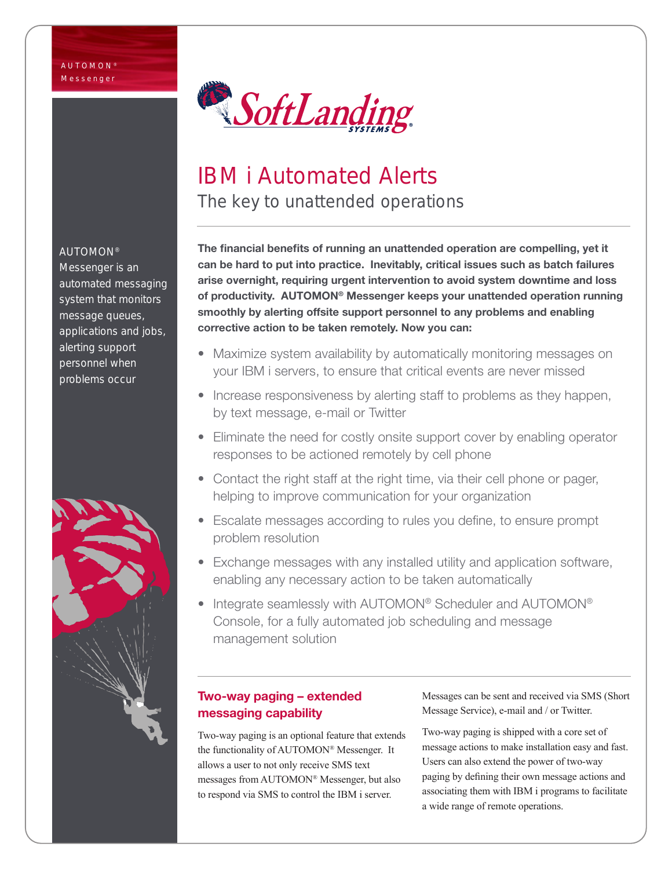

# IBM i Automated Alerts

The key to unattended operations

The financial benefits of running an unattended operation are compelling, yet it can be hard to put into practice. Inevitably, critical issues such as batch failures arise overnight, requiring urgent intervention to avoid system downtime and loss of productivity. AUTOMON® Messenger keeps your unattended operation running smoothly by alerting offsite support personnel to any problems and enabling corrective action to be taken remotely. Now you can:

- Maximize system availability by automatically monitoring messages on your IBM i servers, to ensure that critical events are never missed
- Increase responsiveness by alerting staff to problems as they happen, by text message, e-mail or Twitter
- Eliminate the need for costly onsite support cover by enabling operator responses to be actioned remotely by cell phone
- Contact the right staff at the right time, via their cell phone or pager, helping to improve communication for your organization
- Escalate messages according to rules you define, to ensure prompt problem resolution
- Exchange messages with any installed utility and application software, enabling any necessary action to be taken automatically
- Integrate seamlessly with AUTOMON® Scheduler and AUTOMON® Console, for a fully automated job scheduling and message management solution

# Two-way paging – extended messaging capability

Two-way paging is an optional feature that extends the functionality of AUTOMON® Messenger. It allows a user to not only receive SMS text messages from AUTOMON® Messenger, but also to respond via SMS to control the IBM i server.

Messages can be sent and received via SMS (Short Message Service), e-mail and / or Twitter.

Two-way paging is shipped with a core set of message actions to make installation easy and fast. Users can also extend the power of two-way paging by defining their own message actions and associating them with IBM i programs to facilitate a wide range of remote operations.

#### AUTOMON®

Messenger is an automated messaging system that monitors message queues, applications and jobs, alerting support personnel when problems occur